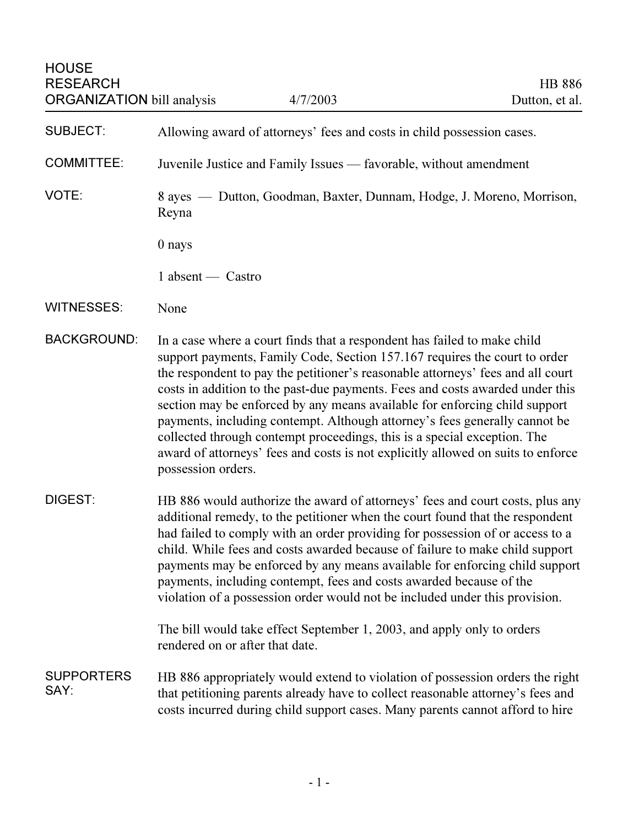## **HOUSE** RESEARCH **HB 886** ORGANIZATION bill analysis  $4/7/2003$  Dutton, et al.

SUBJECT: Allowing award of attorneys' fees and costs in child possession cases.

COMMITTEE: Juvenile Justice and Family Issues — favorable, without amendment

VOTE: 8 ayes — Dutton, Goodman, Baxter, Dunnam, Hodge, J. Moreno, Morrison, Reyna

0 nays

1 absent — Castro

## WITNESSES: None

- BACKGROUND: In a case where a court finds that a respondent has failed to make child support payments, Family Code, Section 157.167 requires the court to order the respondent to pay the petitioner's reasonable attorneys' fees and all court costs in addition to the past-due payments. Fees and costs awarded under this section may be enforced by any means available for enforcing child support payments, including contempt. Although attorney's fees generally cannot be collected through contempt proceedings, this is a special exception. The award of attorneys' fees and costs is not explicitly allowed on suits to enforce possession orders.
- DIGEST: HB 886 would authorize the award of attorneys' fees and court costs, plus any additional remedy, to the petitioner when the court found that the respondent had failed to comply with an order providing for possession of or access to a child. While fees and costs awarded because of failure to make child support payments may be enforced by any means available for enforcing child support payments, including contempt, fees and costs awarded because of the violation of a possession order would not be included under this provision.

The bill would take effect September 1, 2003, and apply only to orders rendered on or after that date.

**SUPPORTERS** SAY: HB 886 appropriately would extend to violation of possession orders the right that petitioning parents already have to collect reasonable attorney's fees and costs incurred during child support cases. Many parents cannot afford to hire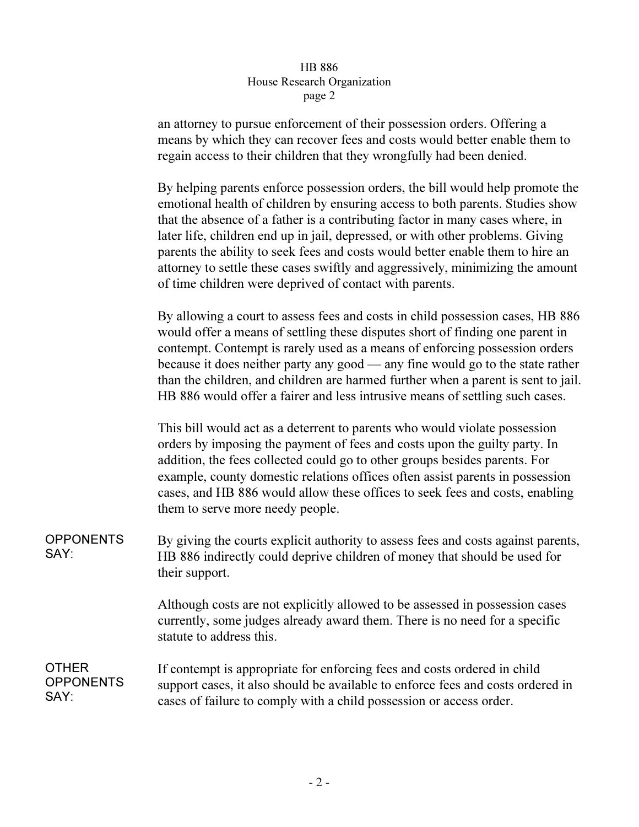| <b>HB 886</b>               |
|-----------------------------|
| House Research Organization |
| page 2                      |
|                             |

an attorney to pursue enforcement of their possession orders. Offering a means by which they can recover fees and costs would better enable them to regain access to their children that they wrongfully had been denied.

By helping parents enforce possession orders, the bill would help promote the emotional health of children by ensuring access to both parents. Studies show that the absence of a father is a contributing factor in many cases where, in later life, children end up in jail, depressed, or with other problems. Giving parents the ability to seek fees and costs would better enable them to hire an attorney to settle these cases swiftly and aggressively, minimizing the amount of time children were deprived of contact with parents.

By allowing a court to assess fees and costs in child possession cases, HB 886 would offer a means of settling these disputes short of finding one parent in contempt. Contempt is rarely used as a means of enforcing possession orders because it does neither party any good — any fine would go to the state rather than the children, and children are harmed further when a parent is sent to jail. HB 886 would offer a fairer and less intrusive means of settling such cases.

This bill would act as a deterrent to parents who would violate possession orders by imposing the payment of fees and costs upon the guilty party. In addition, the fees collected could go to other groups besides parents. For example, county domestic relations offices often assist parents in possession cases, and HB 886 would allow these offices to seek fees and costs, enabling them to serve more needy people.

**OPPONENTS** SAY: By giving the courts explicit authority to assess fees and costs against parents, HB 886 indirectly could deprive children of money that should be used for their support.

> Although costs are not explicitly allowed to be assessed in possession cases currently, some judges already award them. There is no need for a specific statute to address this.

**OTHER OPPONENTS** SAY: If contempt is appropriate for enforcing fees and costs ordered in child support cases, it also should be available to enforce fees and costs ordered in cases of failure to comply with a child possession or access order.